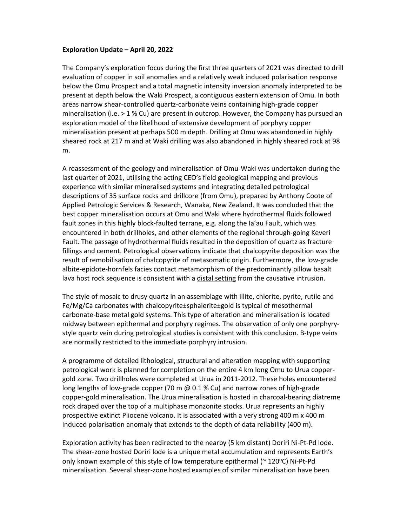## **Exploration Update – April 20, 2022**

The Company's exploration focus during the first three quarters of 2021 was directed to drill evaluation of copper in soil anomalies and a relatively weak induced polarisation response below the Omu Prospect and a total magnetic intensity inversion anomaly interpreted to be present at depth below the Waki Prospect, a contiguous eastern extension of Omu. In both areas narrow shear-controlled quartz-carbonate veins containing high-grade copper mineralisation (i.e.  $> 1$  % Cu) are present in outcrop. However, the Company has pursued an exploration model of the likelihood of extensive development of porphyry copper mineralisation present at perhaps 500 m depth. Drilling at Omu was abandoned in highly sheared rock at 217 m and at Waki drilling was also abandoned in highly sheared rock at 98 m.

A reassessment of the geology and mineralisation of Omu-Waki was undertaken during the last quarter of 2021, utilising the acting CEO's field geological mapping and previous experience with similar mineralised systems and integrating detailed petrological descriptions of 35 surface rocks and drillcore (from Omu), prepared by Anthony Coote of Applied Petrologic Services & Research, Wanaka, New Zealand. It was concluded that the best copper mineralisation occurs at Omu and Waki where hydrothermal fluids followed fault zones in this highly block-faulted terrane, e.g. along the Ia'au Fault, which was encountered in both drillholes, and other elements of the regional through-going Keveri Fault. The passage of hydrothermal fluids resulted in the deposition of quartz as fracture fillings and cement. Petrological observations indicate that chalcopyrite deposition was the result of remobilisation of chalcopyrite of metasomatic origin. Furthermore, the low-grade albite-epidote-hornfels facies contact metamorphism of the predominantly pillow basalt lava host rock sequence is consistent with a distal setting from the causative intrusion.

The style of mosaic to drusy quartz in an assemblage with illite, chlorite, pyrite, rutile and Fe/Mg/Ca carbonates with chalcopyrite±sphalerite±gold is typical of mesothermal carbonate-base metal gold systems. This type of alteration and mineralisation is located midway between epithermal and porphyry regimes. The observation of only one porphyrystyle quartz vein during petrological studies is consistent with this conclusion. B-type veins are normally restricted to the immediate porphyry intrusion.

A programme of detailed lithological, structural and alteration mapping with supporting petrological work is planned for completion on the entire 4 km long Omu to Urua coppergold zone. Two drillholes were completed at Urua in 2011-2012. These holes encountered long lengths of low-grade copper (70 m @ 0.1 % Cu) and narrow zones of high-grade copper-gold mineralisation. The Urua mineralisation is hosted in charcoal-bearing diatreme rock draped over the top of a multiphase monzonite stocks. Urua represents an highly prospective extinct Pliocene volcano. It is associated with a very strong 400 m x 400 m induced polarisation anomaly that extends to the depth of data reliability (400 m).

Exploration activity has been redirected to the nearby (5 km distant) Doriri Ni-Pt-Pd lode. The shear-zone hosted Doriri lode is a unique metal accumulation and represents Earth's only known example of this style of low temperature epithermal ( $\approx$  120 $\degree$ C) Ni-Pt-Pd mineralisation. Several shear-zone hosted examples of similar mineralisation have been